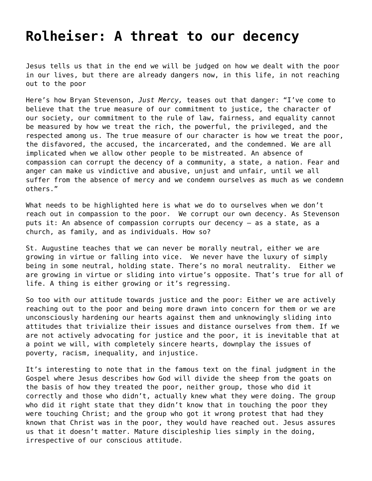## **[Rolheiser: A threat to our decency](https://grandinmedia.ca/a-threat-to-our-decency/)**

Jesus tells us that in the end we will be judged on how we dealt with the poor in our lives, but there are already dangers now, in this life, in not reaching out to the poor

Here's how Bryan Stevenson, *Just Mercy,* teases out that danger: "I've come to believe that the true measure of our commitment to justice, the character of our society, our commitment to the rule of law, fairness, and equality cannot be measured by how we treat the rich, the powerful, the privileged, and the respected among us. The true measure of our character is how we treat the poor, the disfavored, the accused, the incarcerated, and the condemned. We are all implicated when we allow other people to be mistreated. An absence of compassion can corrupt the decency of a community, a state, a nation. Fear and anger can make us vindictive and abusive, unjust and unfair, until we all suffer from the absence of mercy and we condemn ourselves as much as we condemn others."

What needs to be highlighted here is what we do to ourselves when we don't reach out in compassion to the poor. We corrupt our own decency. As Stevenson puts it: An absence of compassion corrupts our decency – as a state, as a church, as family, and as individuals. How so?

St. Augustine teaches that we can never be morally neutral, either we are growing in virtue or falling into vice. We never have the luxury of simply being in some neutral, holding state. There's no moral neutrality. Either we are growing in virtue or sliding into virtue's opposite. That's true for all of life. A thing is either growing or it's regressing.

So too with our attitude towards justice and the poor: Either we are actively reaching out to the poor and being more drawn into concern for them or we are unconsciously hardening our hearts against them and unknowingly sliding into attitudes that trivialize their issues and distance ourselves from them. If we are not actively advocating for justice and the poor, it is inevitable that at a point we will, with completely sincere hearts, downplay the issues of poverty, racism, inequality, and injustice.

It's interesting to note that in the famous text on the final judgment in the Gospel where Jesus describes how God will divide the sheep from the goats on the basis of how they treated the poor, neither group, those who did it correctly and those who didn't, actually knew what they were doing. The group who did it right state that they didn't know that in touching the poor they were touching Christ; and the group who got it wrong protest that had they known that Christ was in the poor, they would have reached out. Jesus assures us that it doesn't matter. Mature discipleship lies simply in the doing, irrespective of our conscious attitude.